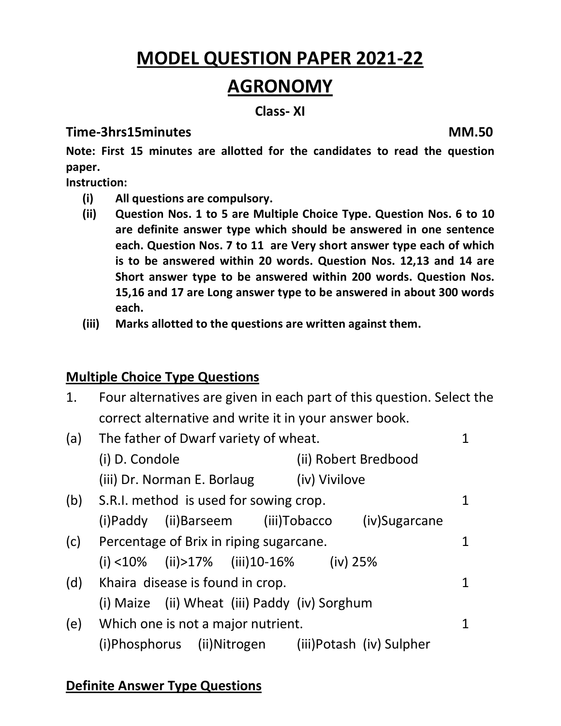# **MODEL QUESTION PAPER 2021-22 AGRONOMY**

#### **Class- XI**

#### **Time-3hrs15minutes MM.50**

**Note: First 15 minutes are allotted for the candidates to read the question paper.**

**Instruction:** 

- **(i) All questions are compulsory.**
- **(ii) Question Nos. 1 to 5 are Multiple Choice Type. Question Nos. 6 to 10 are definite answer type which should be answered in one sentence each. Question Nos. 7 to 11 are Very short answer type each of which is to be answered within 20 words. Question Nos. 12,13 and 14 are Short answer type to be answered within 200 words. Question Nos. 15,16 and 17 are Long answer type to be answered in about 300 words each.**
- **(iii) Marks allotted to the questions are written against them.**

## **Multiple Choice Type Questions**

| 1.  | Four alternatives are given in each part of this question. Select the |             |  |
|-----|-----------------------------------------------------------------------|-------------|--|
|     | correct alternative and write it in your answer book.                 |             |  |
| (a) | The father of Dwarf variety of wheat.                                 | 1           |  |
|     | (i) D. Condole<br>(ii) Robert Bredbood                                |             |  |
|     | (iii) Dr. Norman E. Borlaug (iv) Vivilove                             |             |  |
| (b) | S.R.I. method is used for sowing crop.                                | $\mathbf 1$ |  |
|     | (i)Paddy (ii)Barseem (iii)Tobacco (iv)Sugarcane                       |             |  |
| (c) | Percentage of Brix in riping sugarcane.                               | 1           |  |
|     | (i) $\langle$ 10% (ii) > 17% (iii) 10-16% (iv) 25%                    |             |  |
| (d) | Khaira disease is found in crop.                                      | 1           |  |
|     | (i) Maize (ii) Wheat (iii) Paddy (iv) Sorghum                         |             |  |
| (e) | Which one is not a major nutrient.                                    | $\mathbf 1$ |  |
|     | (i)Phosphorus (ii)Nitrogen (iii)Potash (iv) Sulpher                   |             |  |

## **Definite Answer Type Questions**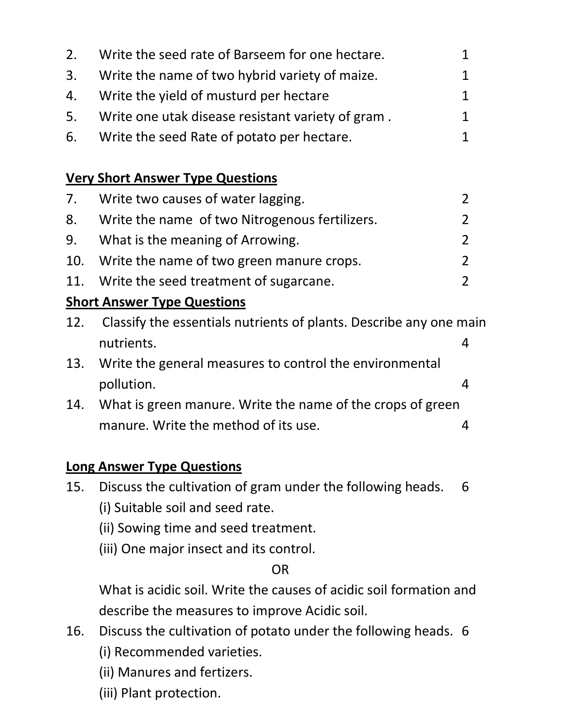| 2. | Write the seed rate of Barseem for one hectare.      | 1           |
|----|------------------------------------------------------|-------------|
|    | 3. Write the name of two hybrid variety of maize.    | $\mathbf 1$ |
|    | 4. Write the yield of musturd per hectare            | 1           |
|    | 5. Write one utak disease resistant variety of gram. | 1.          |

6. Write the seed Rate of potato per hectare. 1

# **Very Short Answer Type Questions**

| 7. Write two causes of water lagging.             |  |
|---------------------------------------------------|--|
| 8. Write the name of two Nitrogenous fertilizers. |  |
| 9. What is the meaning of Arrowing.               |  |
| 10. Write the name of two green manure crops.     |  |
| 11. Write the seed treatment of sugarcane.        |  |

# **Short Answer Type Questions**

| 12. Classify the essentials nutrients of plants. Describe any one main |  |  |  |
|------------------------------------------------------------------------|--|--|--|
| nutrients.                                                             |  |  |  |
|                                                                        |  |  |  |

- 13. Write the general measures to control the environmental pollution. 4
- 14. What is green manure. Write the name of the crops of green manure. Write the method of its use. 4

# **Long Answer Type Questions**

- 15. Discuss the cultivation of gram under the following heads. 6 (i) Suitable soil and seed rate.
	- (ii) Sowing time and seed treatment.
	- (iii) One major insect and its control.

## OR

What is acidic soil. Write the causes of acidic soil formation and describe the measures to improve Acidic soil.

- 16. Discuss the cultivation of potato under the following heads. 6
	- (i) Recommended varieties.
	- (ii) Manures and fertizers.
	- (iii) Plant protection.